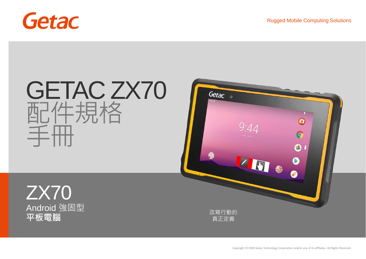

ZX70

Android 強固型



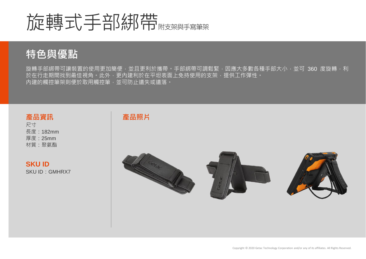# 旋轉式手部綁帶帶

## **特色與優點**

旋轉手部綁帶可讓裝置的使用更加簡便,並且更利於攜帶。手部綁帶可調鬆緊,因應大多數各種手部大小,並可 360 度旋轉,利 於在行走期間找到最佳視角。此外,更內建利於在平坦表面上免持使用的支架,提供工作彈性。 內建的觸控筆架則便於取用觸控筆,並可防止遺失或遺落。

#### **產品資訊**

尺寸 長度:182mm 厚度:25mm 材質:聚氨酯

#### **SKU ID** SKU ID:GMHRX7

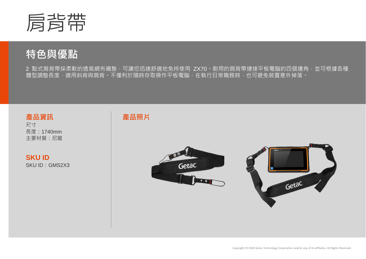

2 點式肩背帶採柔軟的透氣網布襯墊,可讓您迅速舒適地免持使用 ZX70。耐用的肩背帶連接平板電腦的四個邊角,並可根據各種 體型調整長度,適用斜背與肩背。不僅利於隨時存取操作平板電腦,在執行日常職務時,也可避免裝置意外掉落。

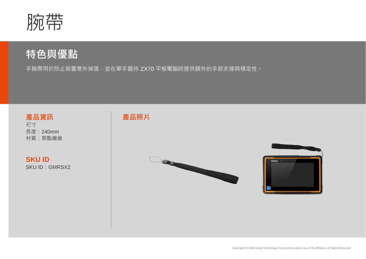

手腕帶用於防止裝置意外掉落,並在單手握持 ZX70 平板電腦時提供額外的手部支撐與穩定性。

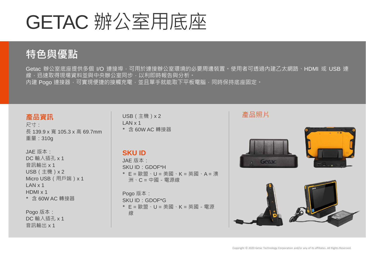# GETAC 辦公室用底座

## **特色與優點**

Getac 辦公室底座提供多個 I/O 連接埠,可用於連接辦公室環境的必要周邊裝置。使用者可透過內建乙太網路、HDMI 或 USB 連 線,迅速取得現場資料並與中央辦公室同步,以利即時報告與分析。 內建 Pogo 連接器,可實現便捷的接觸充電,並且單手就能取下平板電腦,同時保持底座固定。

#### **產品資訊**

尺寸: 長 139.9 x 寬 105.3 x 高 69.7mm 重量:310g

JAE 版本: DC 輸入插孔 x 1 音訊輸出 x 1 USB(主機)x 2 Micro USB(用戶端)x 1 LAN x 1 HDMI x 1 \* 含 60W AC 轉接器

Pogo 版本: DC 輸入插孔 x 1 音訊輸出 x 1

USB(主機)x 2  $IAN \times 1$ \* 含 60W AC 轉接器

### **SKU ID**

JAE 版本: SKU ID:GDOF\*H \* E = 歐盟、U = 美國、K = 英國、A = 澳 洲、C = 中國-電源線

Pogo 版本: SKU ID:GDOF\*G \* E = 歐盟、U = 美國、K = 英國-電源 線



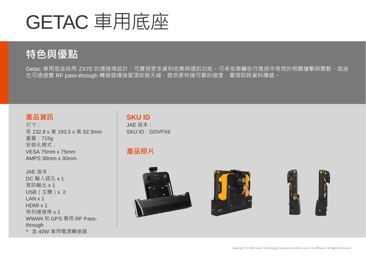# GETAC 車用底座

## **特色與優點**

Getac 車用底座採用 ZX70 的連接埠設計,可實現更多資料收集與通訊功能。可承受車輛在行進途中常見的相關撞擊與震動。底座 也可透過雙 RF pass-through 轉接器連接屋頂安裝天線,提供更快速可靠的速度,實現即時資料傳遞。

#### **產品資訊**

尺寸: 長 232.8 x 寬 193.5 x 高 52.3mm 重量:715g 安裝孔模式: VESA 75mm x 75mm AMPS 38mm x 30mm

JAE 版本: DC 輸入插孔 x 1 音訊輸出 x 1 USB(主機)x 2  $IAN \times 1$ HDMI x 1 序列連接埠 x 1 WWAN 和 GPS 專用 RF Passthrough

\* 含 40W 車用電源轉接器

### **SKU ID**

JAE 版本: SKU ID:GDVPX6

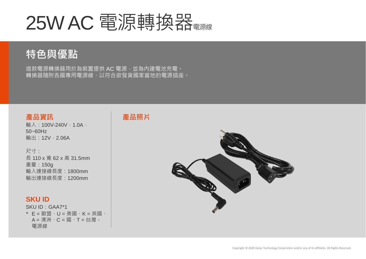# 25W AC 電源轉換器

## **特色與優點**

這款電源轉換器用於為裝置提供AC 電源,並為內建電池充電。 轉換器隨附各國專用電源線,以符合欲發貨國家當地的電源插座。

#### **產品資訊**

輸入: 100V-240V, 1.0A, 50~60Hz 輸出: 12V, 2.06A

尺寸: 長 110 x 寬 62 x 高 31.5mm 重量:150g 輸入連接線長度:1800mm 輸出連接線長度:1200mm

#### **SKU ID**

SKU ID:GAA7\*1 \* E = 歐盟、U = 美國、K = 英國、  $A = \mathbb{R}^M \cdot C = \mathbb{R} \cdot T = \bigoplus_{i=1}^N A_i$ 電源線



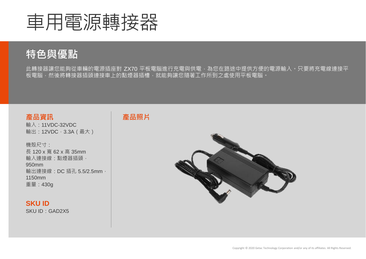

此轉接器讓您能夠從車輛的電源插座對 ZX70 平板電腦進行充電與供電,為您在路途中提供方便的電源輸入。只要將充電線連接平 板電腦,然後將轉接器插頭連接車上的點煙器插槽,就能夠讓您隨著工作所到之處使用平板電腦。

#### **產品資訊**

輸入:11VDC-32VDC 輸出: 12VDC, 3.3A (最大)

機殼尺寸: 長 120 x 寬 62 x 高 35mm 輸入連接線:點煙器插頭, 950mm 輸出連接線: DC 插孔 5.5/2.5mm, 1150mm 重量:430g

#### **SKU ID**

SKU ID:GAD2X5



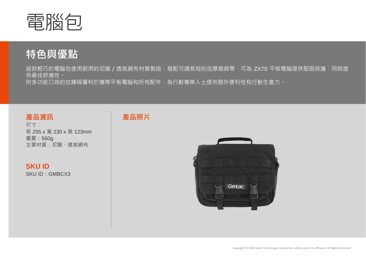

這款輕巧的電腦包使用耐用的尼龍 / 透氣網布材質製造,搭配可調長短的加厚肩背帶,可為 ZX70 平板電腦提供堅固保護,同時提 供最佳舒適性。

附多功能口袋的拉鍊隔層利於攜帶平板電腦和所有配件,為行動專業人士提供額外便利性和行動生產力。

#### **產品資訊**

尺寸: 長 255 x 寬 230 x 高 123mm 重量:560g 主要材質:尼龍、透氣網布

**SKU ID** SKU ID:GMBCX3



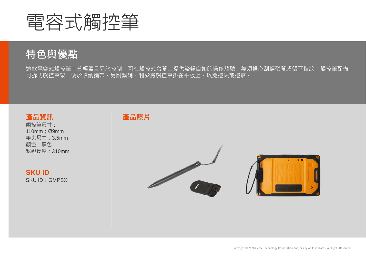

這款電容式觸控筆十分輕盈且易於控制,可在觸控式螢幕上提供流暢自如的操作體驗,無須擔心刮傷螢幕或留下指紋。觸控筆配備 可拆式觸控筆架,便於收納攜帶,另附繫繩,利於將觸控筆掛在平板上,以免遺失或遺落。

#### **產品資訊**

觸控筆尺寸: 110mm;Ø9mm 筆尖尺寸:3.5mm 顏色:黑色 繫繩長度:310mm

**SKU ID** SKU ID:GMPSXI

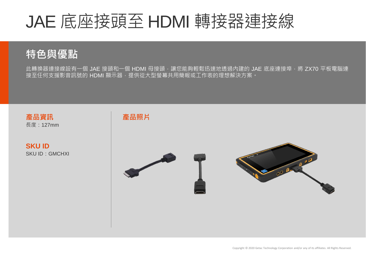## JAE 底座接頭至 HDMI 轉接器連接線

## **特色與優點**

此轉換器連接線設有一個 JAE 接頭和一個 HDMI 母接頭,讓您能夠輕鬆迅速地透過內建的 JAE 底座連接埠,將 ZX70 平板電腦連 接至任何支援影音訊號的 HDMI 顯示器,提供從大型螢幕共用簡報或工作表的理想解決方案。

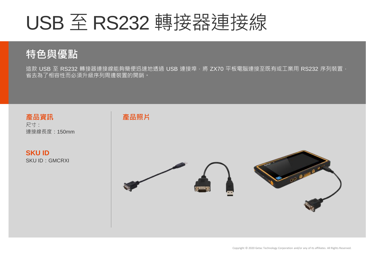# USB 至 RS232 轉接器連接線

## **特色與優點**

這款 USB 至 RS232 轉接器連接線能夠簡便迅速地透過 USB 連接埠, 將 ZX70 平板電腦連接至既有或工業用 RS232 序列裝置, 省去為了相容性而必須升級序列周邊裝置的開銷。